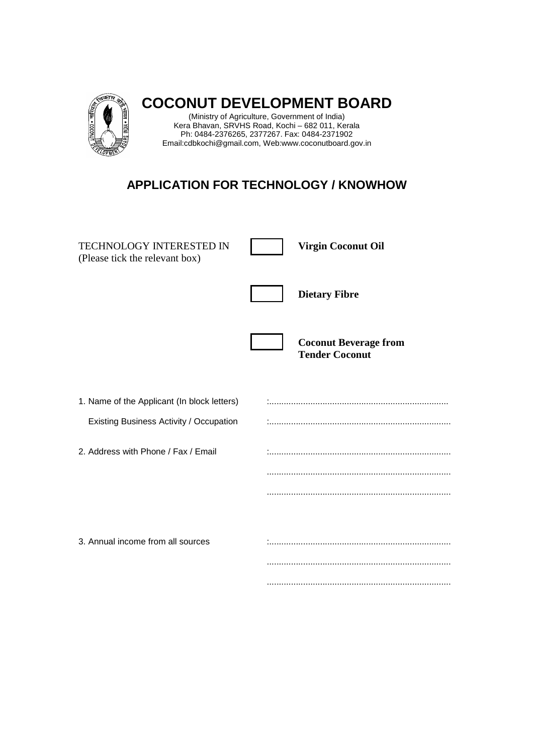

**COCONUT DEVELOPMENT BOARD** 

(Ministry of Agriculture, Government of India) Kera Bhavan, SRVHS Road, Kochi – 682 011, Kerala Ph: 0484-2376265, 2377267. Fax: 0484-2371902 Email:cdbkochi@gmail.com, Web:www.coconutboard.gov.in

## **APPLICATION FOR TECHNOLOGY / KNOWHOW**

| <b>TECHNOLOGY INTERESTED IN</b><br>(Please tick the relevant box)                      | <b>Virgin Coconut Oil</b>                             |
|----------------------------------------------------------------------------------------|-------------------------------------------------------|
|                                                                                        | <b>Dietary Fibre</b>                                  |
|                                                                                        | <b>Coconut Beverage from</b><br><b>Tender Coconut</b> |
| 1. Name of the Applicant (In block letters)<br>Existing Business Activity / Occupation |                                                       |
| 2. Address with Phone / Fax / Email                                                    |                                                       |
|                                                                                        |                                                       |
| 3. Annual income from all sources                                                      |                                                       |
|                                                                                        |                                                       |